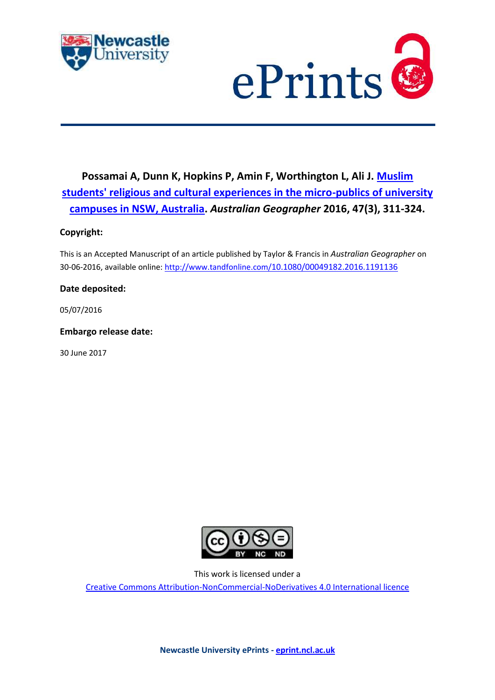



# **Possamai A, Dunn K, Hopkins P, Amin F, Worthington L, Ali J. [Muslim](javascript:ViewPublication(224876);)  [students' religious and cultural experiences in the micro-publics of university](javascript:ViewPublication(224876);)  [campuses in NSW, Australia.](javascript:ViewPublication(224876);)** *Australian Geographer* **2016, 47(3), 311-324.**

## **Copyright:**

This is an Accepted Manuscript of an article published by Taylor & Francis in *Australian Geographer* on 30-06-2016, available online: http://www.tandfonline.com/[10.1080/00049182.2016.1191136](http://www.tandfonline.com/10.1080/00049182.2016.1191136)

### **Date deposited:**

05/07/2016

#### **Embargo release date:**

30 June 2017



This work is licensed under a

[Creative Commons Attribution-NonCommercial-NoDerivatives 4.0 International licence](https://creativecommons.org/licenses/by-nc-nd/4.0/)

**Newcastle University ePrints - [eprint.ncl.ac.uk](http://eprint.ncl.ac.uk/)**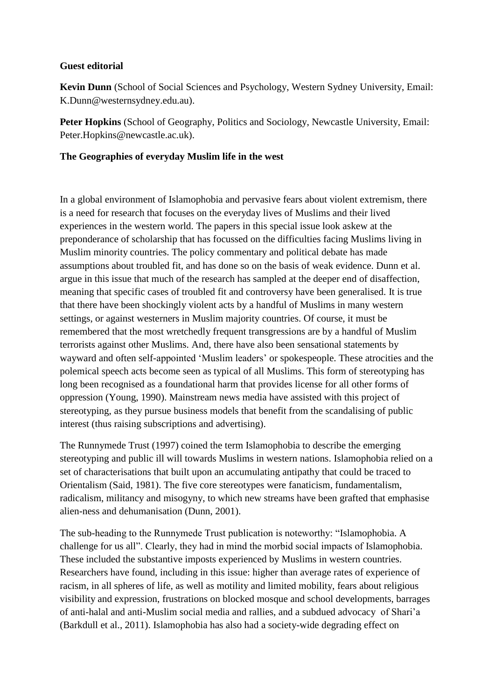## **Guest editorial**

**Kevin Dunn** (School of Social Sciences and Psychology, Western Sydney University, Email: K.Dunn@westernsydney.edu.au).

**Peter Hopkins** (School of Geography, Politics and Sociology, Newcastle University, Email: Peter.Hopkins@newcastle.ac.uk).

## **The Geographies of everyday Muslim life in the west**

In a global environment of Islamophobia and pervasive fears about violent extremism, there is a need for research that focuses on the everyday lives of Muslims and their lived experiences in the western world. The papers in this special issue look askew at the preponderance of scholarship that has focussed on the difficulties facing Muslims living in Muslim minority countries. The policy commentary and political debate has made assumptions about troubled fit, and has done so on the basis of weak evidence. Dunn et al. argue in this issue that much of the research has sampled at the deeper end of disaffection, meaning that specific cases of troubled fit and controversy have been generalised. It is true that there have been shockingly violent acts by a handful of Muslims in many western settings, or against westerners in Muslim majority countries. Of course, it must be remembered that the most wretchedly frequent transgressions are by a handful of Muslim terrorists against other Muslims. And, there have also been sensational statements by wayward and often self-appointed 'Muslim leaders' or spokespeople. These atrocities and the polemical speech acts become seen as typical of all Muslims. This form of stereotyping has long been recognised as a foundational harm that provides license for all other forms of oppression (Young, 1990). Mainstream news media have assisted with this project of stereotyping, as they pursue business models that benefit from the scandalising of public interest (thus raising subscriptions and advertising).

The Runnymede Trust (1997) coined the term Islamophobia to describe the emerging stereotyping and public ill will towards Muslims in western nations. Islamophobia relied on a set of characterisations that built upon an accumulating antipathy that could be traced to Orientalism (Said, 1981). The five core stereotypes were fanaticism, fundamentalism, radicalism, militancy and misogyny, to which new streams have been grafted that emphasise alien-ness and dehumanisation (Dunn, 2001).

The sub-heading to the Runnymede Trust publication is noteworthy: "Islamophobia. A challenge for us all". Clearly, they had in mind the morbid social impacts of Islamophobia. These included the substantive imposts experienced by Muslims in western countries. Researchers have found, including in this issue: higher than average rates of experience of racism, in all spheres of life, as well as motility and limited mobility, fears about religious visibility and expression, frustrations on blocked mosque and school developments, barrages of anti-halal and anti-Muslim social media and rallies, and a subdued advocacy of Shari'a (Barkdull et al., 2011). Islamophobia has also had a society-wide degrading effect on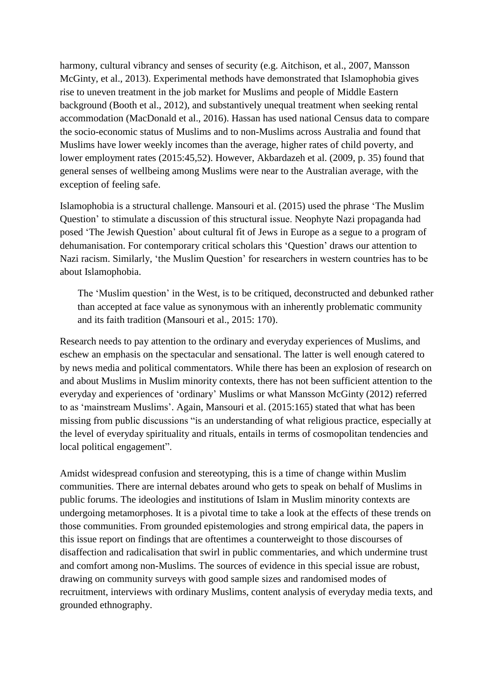harmony, cultural vibrancy and senses of security (e.g. Aitchison, et al., 2007, Mansson McGinty, et al., 2013). Experimental methods have demonstrated that Islamophobia gives rise to uneven treatment in the job market for Muslims and people of Middle Eastern background (Booth et al., 2012), and substantively unequal treatment when seeking rental accommodation (MacDonald et al., 2016). Hassan has used national Census data to compare the socio-economic status of Muslims and to non-Muslims across Australia and found that Muslims have lower weekly incomes than the average, higher rates of child poverty, and lower employment rates (2015:45,52). However, Akbardazeh et al. (2009, p. 35) found that general senses of wellbeing among Muslims were near to the Australian average, with the exception of feeling safe.

Islamophobia is a structural challenge. Mansouri et al. (2015) used the phrase 'The Muslim Question' to stimulate a discussion of this structural issue. Neophyte Nazi propaganda had posed 'The Jewish Question' about cultural fit of Jews in Europe as a segue to a program of dehumanisation. For contemporary critical scholars this 'Question' draws our attention to Nazi racism. Similarly, 'the Muslim Question' for researchers in western countries has to be about Islamophobia.

The 'Muslim question' in the West, is to be critiqued, deconstructed and debunked rather than accepted at face value as synonymous with an inherently problematic community and its faith tradition (Mansouri et al., 2015: 170).

Research needs to pay attention to the ordinary and everyday experiences of Muslims, and eschew an emphasis on the spectacular and sensational. The latter is well enough catered to by news media and political commentators. While there has been an explosion of research on and about Muslims in Muslim minority contexts, there has not been sufficient attention to the everyday and experiences of 'ordinary' Muslims or what Mansson McGinty (2012) referred to as 'mainstream Muslims'. Again, Mansouri et al. (2015:165) stated that what has been missing from public discussions "is an understanding of what religious practice, especially at the level of everyday spirituality and rituals, entails in terms of cosmopolitan tendencies and local political engagement".

Amidst widespread confusion and stereotyping, this is a time of change within Muslim communities. There are internal debates around who gets to speak on behalf of Muslims in public forums. The ideologies and institutions of Islam in Muslim minority contexts are undergoing metamorphoses. It is a pivotal time to take a look at the effects of these trends on those communities. From grounded epistemologies and strong empirical data, the papers in this issue report on findings that are oftentimes a counterweight to those discourses of disaffection and radicalisation that swirl in public commentaries, and which undermine trust and comfort among non-Muslims. The sources of evidence in this special issue are robust, drawing on community surveys with good sample sizes and randomised modes of recruitment, interviews with ordinary Muslims, content analysis of everyday media texts, and grounded ethnography.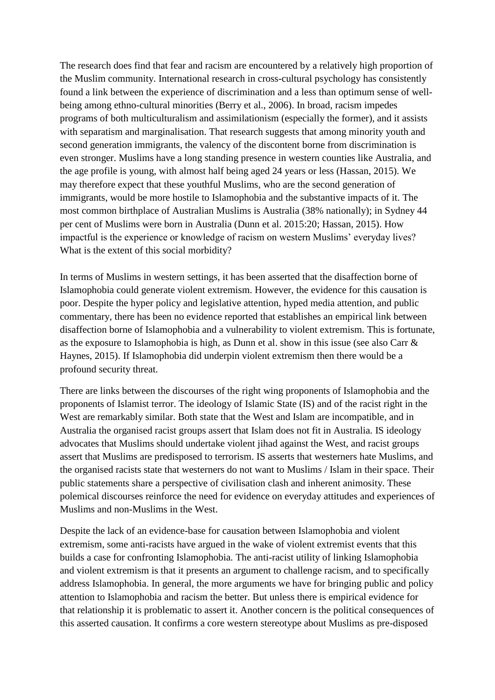The research does find that fear and racism are encountered by a relatively high proportion of the Muslim community. International research in cross-cultural psychology has consistently found a link between the experience of discrimination and a less than optimum sense of wellbeing among ethno-cultural minorities (Berry et al., 2006). In broad, racism impedes programs of both multiculturalism and assimilationism (especially the former), and it assists with separatism and marginalisation. That research suggests that among minority youth and second generation immigrants, the valency of the discontent borne from discrimination is even stronger. Muslims have a long standing presence in western counties like Australia, and the age profile is young, with almost half being aged 24 years or less (Hassan, 2015). We may therefore expect that these youthful Muslims, who are the second generation of immigrants, would be more hostile to Islamophobia and the substantive impacts of it. The most common birthplace of Australian Muslims is Australia (38% nationally); in Sydney 44 per cent of Muslims were born in Australia (Dunn et al. 2015:20; Hassan, 2015). How impactful is the experience or knowledge of racism on western Muslims' everyday lives? What is the extent of this social morbidity?

In terms of Muslims in western settings, it has been asserted that the disaffection borne of Islamophobia could generate violent extremism. However, the evidence for this causation is poor. Despite the hyper policy and legislative attention, hyped media attention, and public commentary, there has been no evidence reported that establishes an empirical link between disaffection borne of Islamophobia and a vulnerability to violent extremism. This is fortunate, as the exposure to Islamophobia is high, as Dunn et al. show in this issue (see also Carr & Haynes, 2015). If Islamophobia did underpin violent extremism then there would be a profound security threat.

There are links between the discourses of the right wing proponents of Islamophobia and the proponents of Islamist terror. The ideology of Islamic State (IS) and of the racist right in the West are remarkably similar. Both state that the West and Islam are incompatible, and in Australia the organised racist groups assert that Islam does not fit in Australia. IS ideology advocates that Muslims should undertake violent jihad against the West, and racist groups assert that Muslims are predisposed to terrorism. IS asserts that westerners hate Muslims, and the organised racists state that westerners do not want to Muslims / Islam in their space. Their public statements share a perspective of civilisation clash and inherent animosity. These polemical discourses reinforce the need for evidence on everyday attitudes and experiences of Muslims and non-Muslims in the West.

Despite the lack of an evidence-base for causation between Islamophobia and violent extremism, some anti-racists have argued in the wake of violent extremist events that this builds a case for confronting Islamophobia. The anti-racist utility of linking Islamophobia and violent extremism is that it presents an argument to challenge racism, and to specifically address Islamophobia. In general, the more arguments we have for bringing public and policy attention to Islamophobia and racism the better. But unless there is empirical evidence for that relationship it is problematic to assert it. Another concern is the political consequences of this asserted causation. It confirms a core western stereotype about Muslims as pre-disposed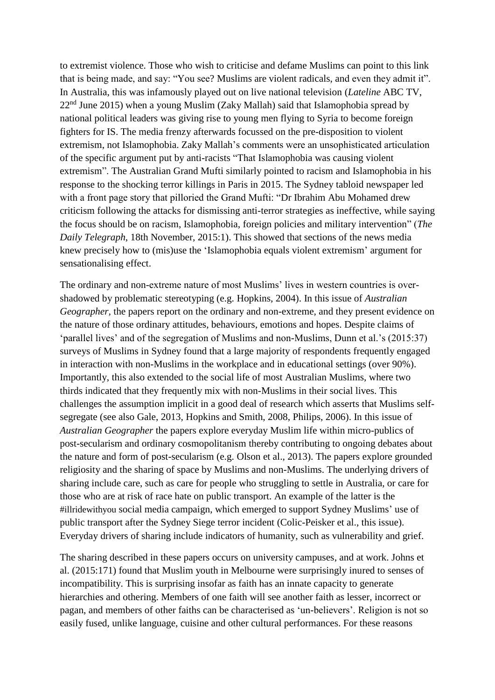to extremist violence. Those who wish to criticise and defame Muslims can point to this link that is being made, and say: "You see? Muslims are violent radicals, and even they admit it". In Australia, this was infamously played out on live national television (*Lateline* ABC TV,  $22<sup>nd</sup>$  June 2015) when a young Muslim (Zaky Mallah) said that Islamophobia spread by national political leaders was giving rise to young men flying to Syria to become foreign fighters for IS. The media frenzy afterwards focussed on the pre-disposition to violent extremism, not Islamophobia. Zaky Mallah's comments were an unsophisticated articulation of the specific argument put by anti-racists "That Islamophobia was causing violent extremism". The Australian Grand Mufti similarly pointed to racism and Islamophobia in his response to the shocking terror killings in Paris in 2015. The Sydney tabloid newspaper led with a front page story that pilloried the Grand Mufti: "Dr Ibrahim Abu Mohamed drew criticism following the attacks for dismissing anti-terror strategies as ineffective, while saying the focus should be on racism, Islamophobia, foreign policies and military intervention" (*The Daily Telegraph*, 18th November, 2015:1). This showed that sections of the news media knew precisely how to (mis)use the 'Islamophobia equals violent extremism' argument for sensationalising effect.

The ordinary and non-extreme nature of most Muslims' lives in western countries is overshadowed by problematic stereotyping (e.g. Hopkins, 2004). In this issue of *Australian Geographer,* the papers report on the ordinary and non-extreme, and they present evidence on the nature of those ordinary attitudes, behaviours, emotions and hopes. Despite claims of 'parallel lives' and of the segregation of Muslims and non-Muslims, Dunn et al.'s (2015:37) surveys of Muslims in Sydney found that a large majority of respondents frequently engaged in interaction with non-Muslims in the workplace and in educational settings (over 90%). Importantly, this also extended to the social life of most Australian Muslims, where two thirds indicated that they frequently mix with non-Muslims in their social lives. This challenges the assumption implicit in a good deal of research which asserts that Muslims selfsegregate (see also Gale, 2013, Hopkins and Smith, 2008, Philips, 2006). In this issue of *Australian Geographer* the papers explore everyday Muslim life within micro-publics of post-secularism and ordinary cosmopolitanism thereby contributing to ongoing debates about the nature and form of post-secularism (e.g. Olson et al., 2013). The papers explore grounded religiosity and the sharing of space by Muslims and non-Muslims. The underlying drivers of sharing include care, such as care for people who struggling to settle in Australia, or care for those who are at risk of race hate on public transport. An example of the latter is the #illridewithyou social media campaign, which emerged to support Sydney Muslims' use of public transport after the Sydney Siege terror incident (Colic-Peisker et al., this issue). Everyday drivers of sharing include indicators of humanity, such as vulnerability and grief.

The sharing described in these papers occurs on university campuses, and at work. Johns et al. (2015:171) found that Muslim youth in Melbourne were surprisingly inured to senses of incompatibility. This is surprising insofar as faith has an innate capacity to generate hierarchies and othering. Members of one faith will see another faith as lesser, incorrect or pagan, and members of other faiths can be characterised as 'un-believers'. Religion is not so easily fused, unlike language, cuisine and other cultural performances. For these reasons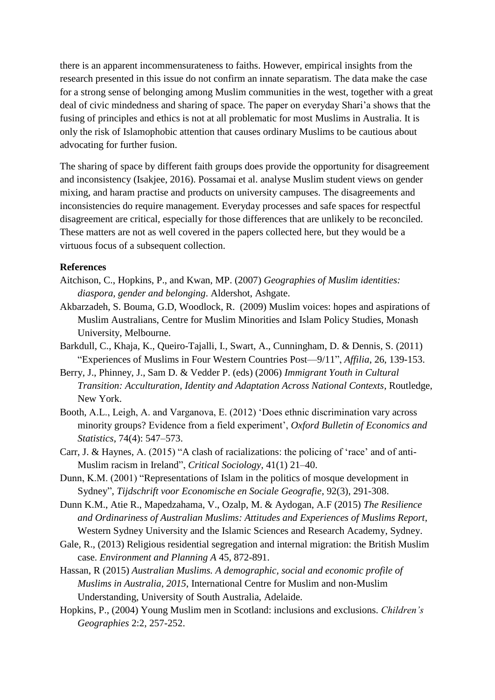there is an apparent incommensurateness to faiths. However, empirical insights from the research presented in this issue do not confirm an innate separatism. The data make the case for a strong sense of belonging among Muslim communities in the west, together with a great deal of civic mindedness and sharing of space. The paper on everyday Shari'a shows that the fusing of principles and ethics is not at all problematic for most Muslims in Australia. It is only the risk of Islamophobic attention that causes ordinary Muslims to be cautious about advocating for further fusion.

The sharing of space by different faith groups does provide the opportunity for disagreement and inconsistency (Isakjee, 2016). Possamai et al. analyse Muslim student views on gender mixing, and haram practise and products on university campuses. The disagreements and inconsistencies do require management. Everyday processes and safe spaces for respectful disagreement are critical, especially for those differences that are unlikely to be reconciled. These matters are not as well covered in the papers collected here, but they would be a virtuous focus of a subsequent collection.

#### **References**

- Aitchison, C., Hopkins, P., and Kwan, MP. (2007) *Geographies of Muslim identities: diaspora, gender and belonging*. Aldershot, Ashgate.
- Akbarzadeh, S. Bouma, G.D, Woodlock, R. (2009) Muslim voices: hopes and aspirations of Muslim Australians, Centre for Muslim Minorities and Islam Policy Studies, Monash University, Melbourne.
- Barkdull, C., Khaja, K., Queiro-Tajalli, I., Swart, A., Cunningham, D. & Dennis, S. (2011) "Experiences of Muslims in Four Western Countries Post—9/11", *Affilia*, 26, 139-153.
- Berry, J., Phinney, J., Sam D. & Vedder P. (eds) (2006) *Immigrant Youth in Cultural Transition: Acculturation, Identity and Adaptation Across National Contexts*, Routledge, New York.
- Booth, A.L., Leigh, A. and Varganova, E. (2012) 'Does ethnic discrimination vary across minority groups? Evidence from a field experiment', *Oxford Bulletin of Economics and Statistics*, 74(4): 547–573.
- Carr, J. & Haynes, A. (2015) "A clash of racializations: the policing of 'race' and of anti-Muslim racism in Ireland", *Critical Sociology*, 41(1) 21–40.
- Dunn, K.M. (2001) "Representations of Islam in the politics of mosque development in Sydney", *Tijdschrift voor Economische en Sociale Geografie*, 92(3), 291-308.
- Dunn K.M., Atie R., Mapedzahama, V., Ozalp, M. & Aydogan, A.F (2015) *The Resilience and Ordinariness of Australian Muslims: Attitudes and Experiences of Muslims Report*, Western Sydney University and the Islamic Sciences and Research Academy, Sydney.
- Gale, R., (2013) Religious residential segregation and internal migration: the British Muslim case. *Environment and Planning A* 45, 872-891.
- Hassan, R (2015) *Australian Muslims. A demographic, social and economic profile of Muslims in Australia, 2015*, International Centre for Muslim and non-Muslim Understanding, University of South Australia, Adelaide.
- Hopkins, P., (2004) Young Muslim men in Scotland: inclusions and exclusions. *Children's Geographies* 2:2, 257-252.